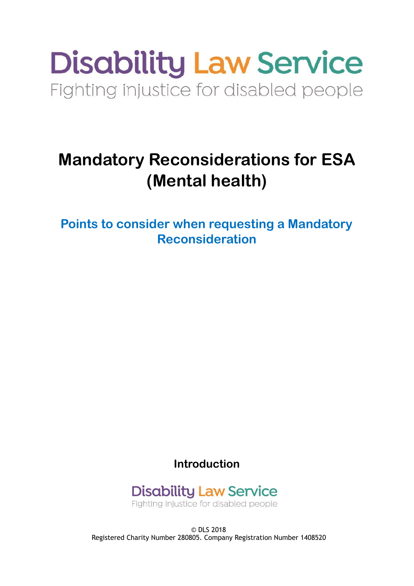# **Disability Law Service** Fighting injustice for disabled people

## **Mandatory Reconsiderations for ESA (Mental health)**

**Points to consider when requesting a Mandatory Reconsideration** 

**Introduction** 

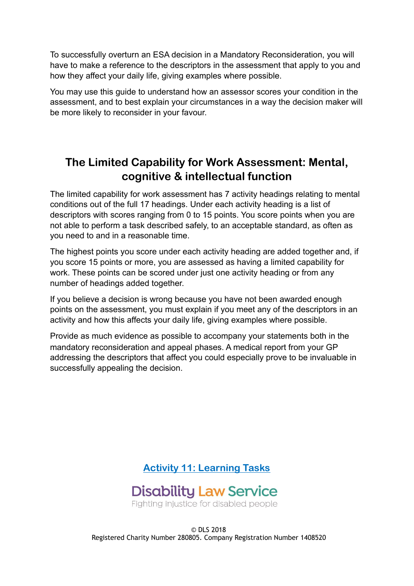To successfully overturn an ESA decision in a Mandatory Reconsideration, you will have to make a reference to the descriptors in the assessment that apply to you and how they affect your daily life, giving examples where possible.

You may use this guide to understand how an assessor scores your condition in the assessment, and to best explain your circumstances in a way the decision maker will be more likely to reconsider in your favour.

### **The Limited Capability for Work Assessment: Mental, cognitive & intellectual function**

The limited capability for work assessment has 7 activity headings relating to mental conditions out of the full 17 headings. Under each activity heading is a list of descriptors with scores ranging from 0 to 15 points. You score points when you are not able to perform a task described safely, to an acceptable standard, as often as you need to and in a reasonable time.

The highest points you score under each activity heading are added together and, if you score 15 points or more, you are assessed as having a limited capability for work. These points can be scored under just one activity heading or from any number of headings added together.

If you believe a decision is wrong because you have not been awarded enough points on the assessment, you must explain if you meet any of the descriptors in an activity and how this affects your daily life, giving examples where possible.

Provide as much evidence as possible to accompany your statements both in the mandatory reconsideration and appeal phases. A medical report from your GP addressing the descriptors that affect you could especially prove to be invaluable in successfully appealing the decision.



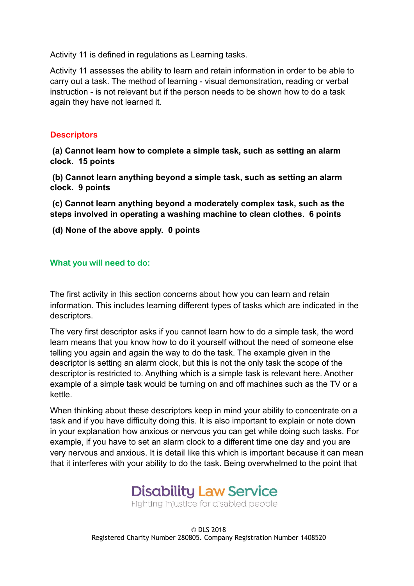Activity 11 is defined in regulations as Learning tasks.

Activity 11 assesses the ability to learn and retain information in order to be able to carry out a task. The method of learning - visual demonstration, reading or verbal instruction - is not relevant but if the person needs to be shown how to do a task again they have not learned it.

#### **Descriptors**

 **(a) Cannot learn how to complete a simple task, such as setting an alarm clock. 15 points** 

 **(b) Cannot learn anything beyond a simple task, such as setting an alarm clock. 9 points** 

 **(c) Cannot learn anything beyond a moderately complex task, such as the steps involved in operating a washing machine to clean clothes. 6 points** 

 **(d) None of the above apply. 0 points** 

#### **What you will need to do:**

The first activity in this section concerns about how you can learn and retain information. This includes learning different types of tasks which are indicated in the descriptors.

The very first descriptor asks if you cannot learn how to do a simple task, the word learn means that you know how to do it yourself without the need of someone else telling you again and again the way to do the task. The example given in the descriptor is setting an alarm clock, but this is not the only task the scope of the descriptor is restricted to. Anything which is a simple task is relevant here. Another example of a simple task would be turning on and off machines such as the TV or a kettle.

When thinking about these descriptors keep in mind your ability to concentrate on a task and if you have difficulty doing this. It is also important to explain or note down in your explanation how anxious or nervous you can get while doing such tasks. For example, if you have to set an alarm clock to a different time one day and you are very nervous and anxious. It is detail like this which is important because it can mean that it interferes with your ability to do the task. Being overwhelmed to the point that

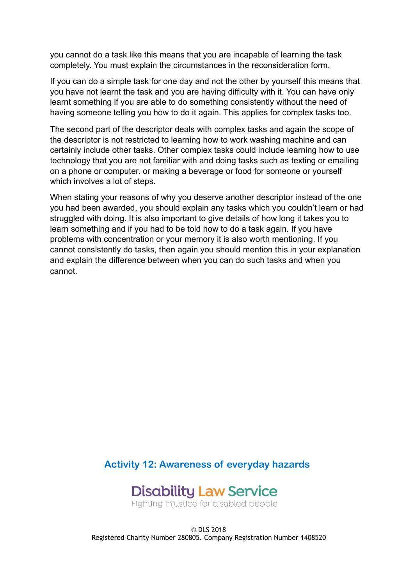you cannot do a task like this means that you are incapable of learning the task completely. You must explain the circumstances in the reconsideration form.

If you can do a simple task for one day and not the other by yourself this means that you have not learnt the task and you are having difficulty with it. You can have only learnt something if you are able to do something consistently without the need of having someone telling you how to do it again. This applies for complex tasks too.

The second part of the descriptor deals with complex tasks and again the scope of the descriptor is not restricted to learning how to work washing machine and can certainly include other tasks. Other complex tasks could include learning how to use technology that you are not familiar with and doing tasks such as texting or emailing on a phone or computer. or making a beverage or food for someone or yourself which involves a lot of steps.

When stating your reasons of why you deserve another descriptor instead of the one you had been awarded, you should explain any tasks which you couldn't learn or had struggled with doing. It is also important to give details of how long it takes you to learn something and if you had to be told how to do a task again. If you have problems with concentration or your memory it is also worth mentioning. If you cannot consistently do tasks, then again you should mention this in your explanation and explain the difference between when you can do such tasks and when you cannot.

**Activity 12: Awareness of everyday hazards** 



Fighting injustice for disabled people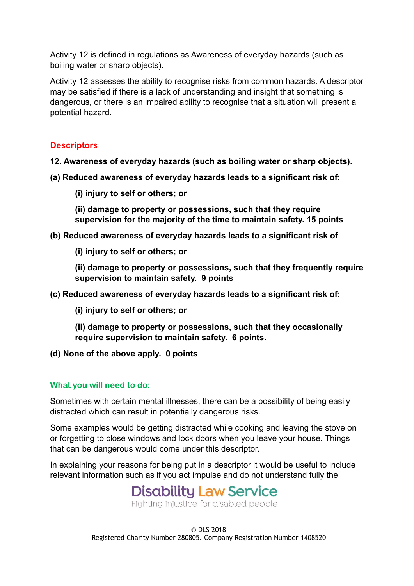Activity 12 is defined in regulations as Awareness of everyday hazards (such as boiling water or sharp objects).

Activity 12 assesses the ability to recognise risks from common hazards. A descriptor may be satisfied if there is a lack of understanding and insight that something is dangerous, or there is an impaired ability to recognise that a situation will present a potential hazard.

#### **Descriptors**

**12. Awareness of everyday hazards (such as boiling water or sharp objects).** 

- **(a) Reduced awareness of everyday hazards leads to a significant risk of:** 
	- **(i) injury to self or others; or**

**(ii) damage to property or possessions, such that they require supervision for the majority of the time to maintain safety. 15 points** 

- **(b) Reduced awareness of everyday hazards leads to a significant risk of** 
	- **(i) injury to self or others; or**

**(ii) damage to property or possessions, such that they frequently require supervision to maintain safety. 9 points** 

- **(c) Reduced awareness of everyday hazards leads to a significant risk of:** 
	- **(i) injury to self or others; or**
	- **(ii) damage to property or possessions, such that they occasionally require supervision to maintain safety. 6 points.**
- **(d) None of the above apply. 0 points**

#### **What you will need to do:**

Sometimes with certain mental illnesses, there can be a possibility of being easily distracted which can result in potentially dangerous risks.

Some examples would be getting distracted while cooking and leaving the stove on or forgetting to close windows and lock doors when you leave your house. Things that can be dangerous would come under this descriptor.

In explaining your reasons for being put in a descriptor it would be useful to include relevant information such as if you act impulse and do not understand fully the

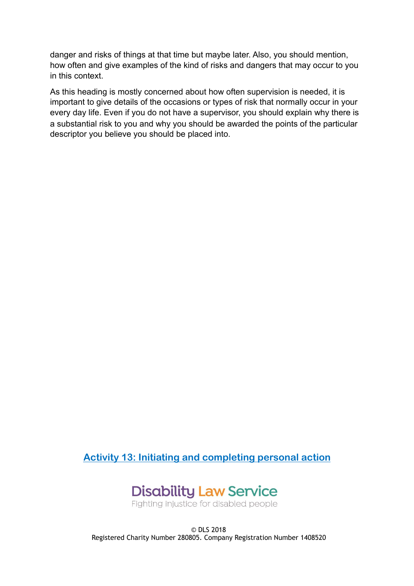danger and risks of things at that time but maybe later. Also, you should mention, how often and give examples of the kind of risks and dangers that may occur to you in this context.

As this heading is mostly concerned about how often supervision is needed, it is important to give details of the occasions or types of risk that normally occur in your every day life. Even if you do not have a supervisor, you should explain why there is a substantial risk to you and why you should be awarded the points of the particular descriptor you believe you should be placed into.

**Activity 13: Initiating and completing personal action** 



Fighting injustice for disabled people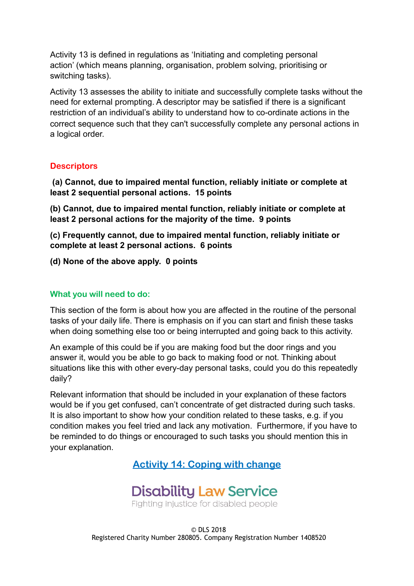Activity 13 is defined in regulations as 'Initiating and completing personal action' (which means planning, organisation, problem solving, prioritising or switching tasks).

Activity 13 assesses the ability to initiate and successfully complete tasks without the need for external prompting. A descriptor may be satisfied if there is a significant restriction of an individual's ability to understand how to co-ordinate actions in the correct sequence such that they can't successfully complete any personal actions in a logical order.

#### **Descriptors**

 **(a) Cannot, due to impaired mental function, reliably initiate or complete at least 2 sequential personal actions. 15 points** 

**(b) Cannot, due to impaired mental function, reliably initiate or complete at least 2 personal actions for the majority of the time. 9 points** 

**(c) Frequently cannot, due to impaired mental function, reliably initiate or complete at least 2 personal actions. 6 points** 

**(d) None of the above apply. 0 points** 

#### **What you will need to do:**

This section of the form is about how you are affected in the routine of the personal tasks of your daily life. There is emphasis on if you can start and finish these tasks when doing something else too or being interrupted and going back to this activity.

An example of this could be if you are making food but the door rings and you answer it, would you be able to go back to making food or not. Thinking about situations like this with other every-day personal tasks, could you do this repeatedly daily?

Relevant information that should be included in your explanation of these factors would be if you get confused, can't concentrate of get distracted during such tasks. It is also important to show how your condition related to these tasks, e.g. if you condition makes you feel tried and lack any motivation. Furthermore, if you have to be reminded to do things or encouraged to such tasks you should mention this in your explanation.

**Activity 14: Coping with change** 

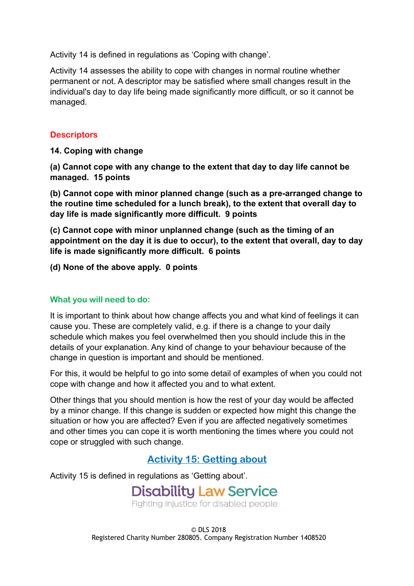Activity 14 is defined in regulations as 'Coping with change'.

Activity 14 assesses the ability to cope with changes in normal routine whether permanent or not. A descriptor may be satisfied where small changes result in the individual's day to day life being made significantly more difficult, or so it cannot be managed.

#### **Descriptors**

**14. Coping with change** 

**(a) Cannot cope with any change to the extent that day to day life cannot be managed. 15 points** 

**(b) Cannot cope with minor planned change (such as a pre-arranged change to the routine time scheduled for a lunch break), to the extent that overall day to day life is made significantly more difficult. 9 points** 

**(c) Cannot cope with minor unplanned change (such as the timing of an appointment on the day it is due to occur), to the extent that overall, day to day life is made significantly more difficult. 6 points** 

**(d) None of the above apply. 0 points** 

#### **What you will need to do:**

It is important to think about how change affects you and what kind of feelings it can cause you. These are completely valid, e.g. if there is a change to your daily schedule which makes you feel overwhelmed then you should include this in the details of your explanation. Any kind of change to your behaviour because of the change in question is important and should be mentioned.

For this, it would be helpful to go into some detail of examples of when you could not cope with change and how it affected you and to what extent.

Other things that you should mention is how the rest of your day would be affected by a minor change. If this change is sudden or expected how might this change the situation or how you are affected? Even if you are affected negatively sometimes and other times you can cope it is worth mentioning the times where you could not cope or struggled with such change.

#### **Activity 15: Getting about**

Activity 15 is defined in regulations as 'Getting about'.

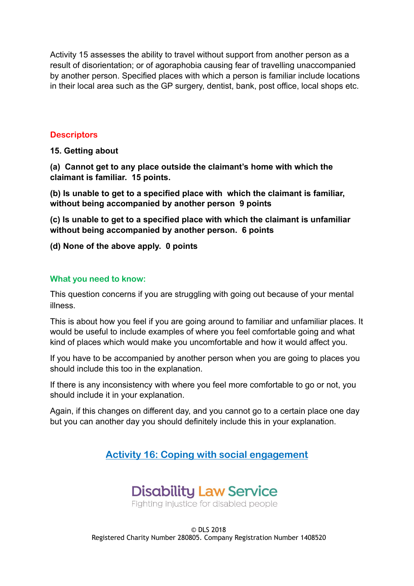Activity 15 assesses the ability to travel without support from another person as a result of disorientation; or of agoraphobia causing fear of travelling unaccompanied by another person. Specified places with which a person is familiar include locations in their local area such as the GP surgery, dentist, bank, post office, local shops etc.

#### **Descriptors**

**15. Getting about** 

**(a) Cannot get to any place outside the claimant's home with which the claimant is familiar. 15 points.** 

**(b) Is unable to get to a specified place with which the claimant is familiar, without being accompanied by another person 9 points** 

**(c) Is unable to get to a specified place with which the claimant is unfamiliar without being accompanied by another person. 6 points** 

#### **(d) None of the above apply. 0 points**

#### **What you need to know:**

This question concerns if you are struggling with going out because of your mental illness.

This is about how you feel if you are going around to familiar and unfamiliar places. It would be useful to include examples of where you feel comfortable going and what kind of places which would make you uncomfortable and how it would affect you.

If you have to be accompanied by another person when you are going to places you should include this too in the explanation.

If there is any inconsistency with where you feel more comfortable to go or not, you should include it in your explanation.

Again, if this changes on different day, and you cannot go to a certain place one day but you can another day you should definitely include this in your explanation.

**Activity 16: Coping with social engagement** 

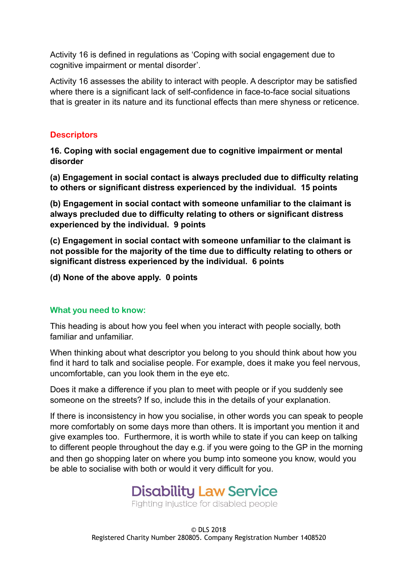Activity 16 is defined in regulations as 'Coping with social engagement due to cognitive impairment or mental disorder'.

Activity 16 assesses the ability to interact with people. A descriptor may be satisfied where there is a significant lack of self-confidence in face-to-face social situations that is greater in its nature and its functional effects than mere shyness or reticence.

#### **Descriptors**

**16. Coping with social engagement due to cognitive impairment or mental disorder** 

**(a) Engagement in social contact is always precluded due to difficulty relating to others or significant distress experienced by the individual. 15 points** 

**(b) Engagement in social contact with someone unfamiliar to the claimant is always precluded due to difficulty relating to others or significant distress experienced by the individual. 9 points** 

**(c) Engagement in social contact with someone unfamiliar to the claimant is not possible for the majority of the time due to difficulty relating to others or significant distress experienced by the individual. 6 points** 

**(d) None of the above apply. 0 points** 

#### **What you need to know:**

This heading is about how you feel when you interact with people socially, both familiar and unfamiliar.

When thinking about what descriptor you belong to you should think about how you find it hard to talk and socialise people. For example, does it make you feel nervous, uncomfortable, can you look them in the eye etc.

Does it make a difference if you plan to meet with people or if you suddenly see someone on the streets? If so, include this in the details of your explanation.

If there is inconsistency in how you socialise, in other words you can speak to people more comfortably on some days more than others. It is important you mention it and give examples too. Furthermore, it is worth while to state if you can keep on talking to different people throughout the day e.g. if you were going to the GP in the morning and then go shopping later on where you bump into someone you know, would you be able to socialise with both or would it very difficult for you.

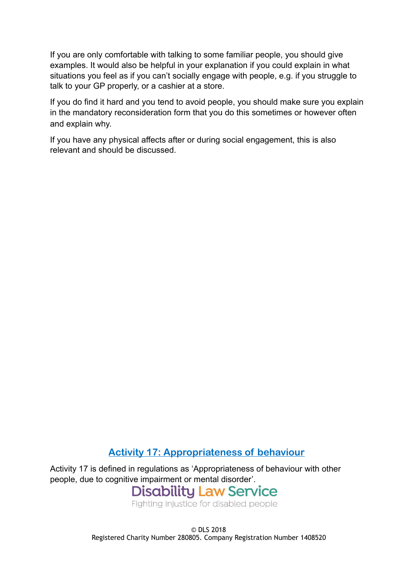If you are only comfortable with talking to some familiar people, you should give examples. It would also be helpful in your explanation if you could explain in what situations you feel as if you can't socially engage with people, e.g. if you struggle to talk to your GP properly, or a cashier at a store.

If you do find it hard and you tend to avoid people, you should make sure you explain in the mandatory reconsideration form that you do this sometimes or however often and explain why.

If you have any physical affects after or during social engagement, this is also relevant and should be discussed.

#### **Activity 17: Appropriateness of behaviour**

Activity 17 is defined in regulations as 'Appropriateness of behaviour with other people, due to cognitive impairment or mental disorder'.<br>Disability Law Service

Fighting injustice for disabled people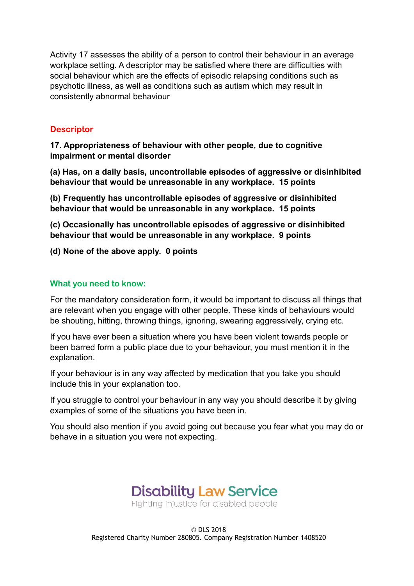Activity 17 assesses the ability of a person to control their behaviour in an average workplace setting. A descriptor may be satisfied where there are difficulties with social behaviour which are the effects of episodic relapsing conditions such as psychotic illness, as well as conditions such as autism which may result in consistently abnormal behaviour

#### **Descriptor**

**17. Appropriateness of behaviour with other people, due to cognitive impairment or mental disorder** 

**(a) Has, on a daily basis, uncontrollable episodes of aggressive or disinhibited behaviour that would be unreasonable in any workplace. 15 points** 

**(b) Frequently has uncontrollable episodes of aggressive or disinhibited behaviour that would be unreasonable in any workplace. 15 points** 

**(c) Occasionally has uncontrollable episodes of aggressive or disinhibited behaviour that would be unreasonable in any workplace. 9 points** 

**(d) None of the above apply. 0 points** 

#### **What you need to know:**

For the mandatory consideration form, it would be important to discuss all things that are relevant when you engage with other people. These kinds of behaviours would be shouting, hitting, throwing things, ignoring, swearing aggressively, crying etc.

If you have ever been a situation where you have been violent towards people or been barred form a public place due to your behaviour, you must mention it in the explanation.

If your behaviour is in any way affected by medication that you take you should include this in your explanation too.

If you struggle to control your behaviour in any way you should describe it by giving examples of some of the situations you have been in.

You should also mention if you avoid going out because you fear what you may do or behave in a situation you were not expecting.

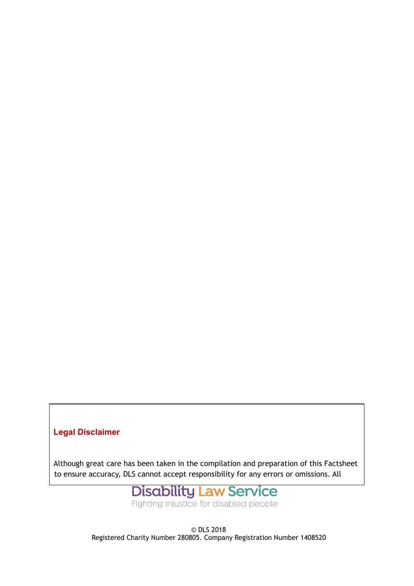#### **Legal Disclaimer**

Although great care has been taken in the compilation and preparation of this Factsheet to ensure accuracy, DLS cannot accept responsibility for any errors or omissions. All



Fighting injustice for disabled people